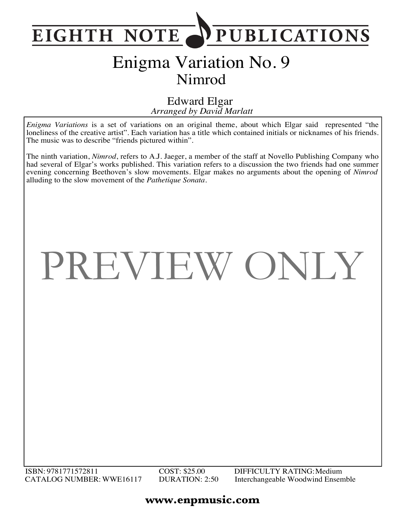

### Enigma Variation No. 9 Nimrod

*Arranged by David Marlatt* Edward Elgar

*Enigma Variations* is a set of variations on an original theme, about which Elgar said represented "the loneliness of the creative artist". Each variation has a title which contained initials or nicknames of his friends. The music was to describe "friends pictured within".

The ninth variation, *Nimrod*, refers to A.J. Jaeger, a member of the staff at Novello Publishing Company who had several of Elgar's works published. This variation refers to a discussion the two friends had one summer evening concerning Beethoven's slow movements. Elgar makes no arguments about the opening of *Nimrod* alluding to the slow movement of the *Pathetique Sonata.*

# PREVIEW ONLY

### **www.enpmusic.com**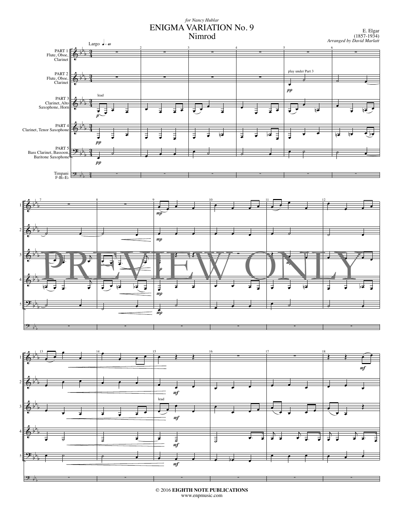#### *for Nancy Hublar* ENIGMA VARIATION No. 9 Nimrod



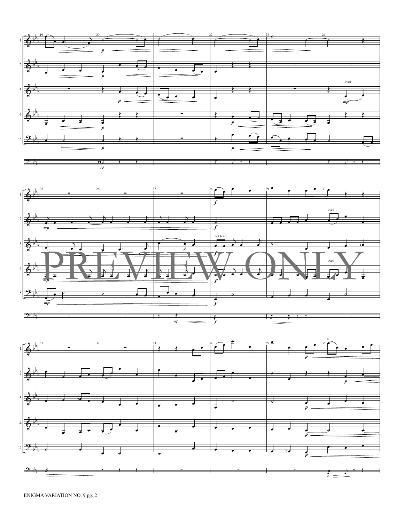